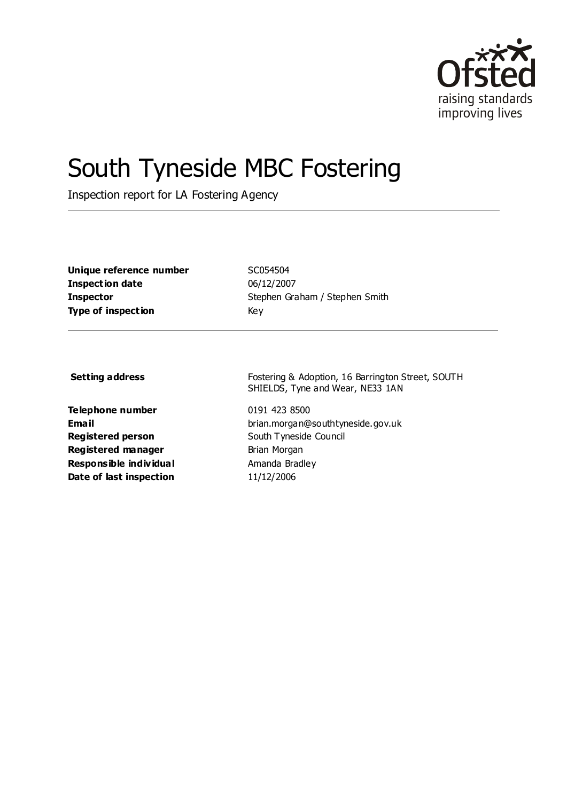

# South Tyneside MBC Fostering

Inspection report for LA Fostering Agency

**Unique reference number** SC054504 **Inspection date** 06/12/2007 **Type of inspection** Key

**Inspector** Stephen Graham / Stephen Smith

**Telephone number** 0191 423 8500 **Registered person** South Tyneside Council **Registered manager** Brian Morgan **Responsible individual** Amanda Bradley **Date of last inspection** 11/12/2006

**Setting address** Fostering & Adoption, 16 Barrington Street, SOUTH SHIELDS, Tyne and Wear, NE33 1AN

**Email** brian.morgan@southtyneside.gov.uk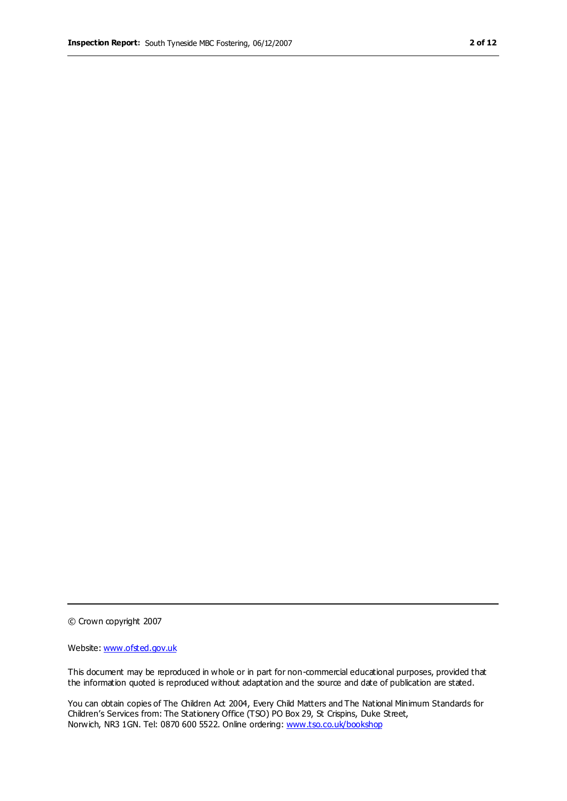© Crown copyright 2007

Website: www.ofsted.gov.uk

This document may be reproduced in whole or in part for non-commercial educational purposes, provided that the information quoted is reproduced without adaptation and the source and date of publication are stated.

You can obtain copies of The Children Act 2004, Every Child Matters and The National Minimum Standards for Children's Services from: The Stationery Office (TSO) PO Box 29, St Crispins, Duke Street, Norwich, NR3 1GN. Tel: 0870 600 5522. Online ordering: www.tso.co.uk/bookshop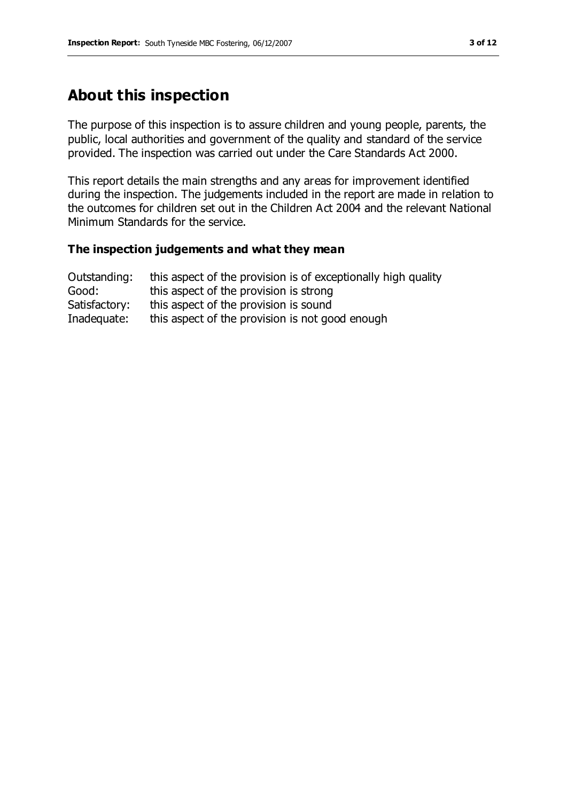# **About this inspection**

The purpose of this inspection is to assure children and young people, parents, the public, local authorities and government of the quality and standard of the service provided. The inspection was carried out under the Care Standards Act 2000.

This report details the main strengths and any areas for improvement identified during the inspection. The judgements included in the report are made in relation to the outcomes for children set out in the Children Act 2004 and the relevant National Minimum Standards for the service.

#### **The inspection judgements and what they mean**

| Outstanding:  | this aspect of the provision is of exceptionally high quality |
|---------------|---------------------------------------------------------------|
| Good:         | this aspect of the provision is strong                        |
| Satisfactory: | this aspect of the provision is sound                         |
| Inadequate:   | this aspect of the provision is not good enough               |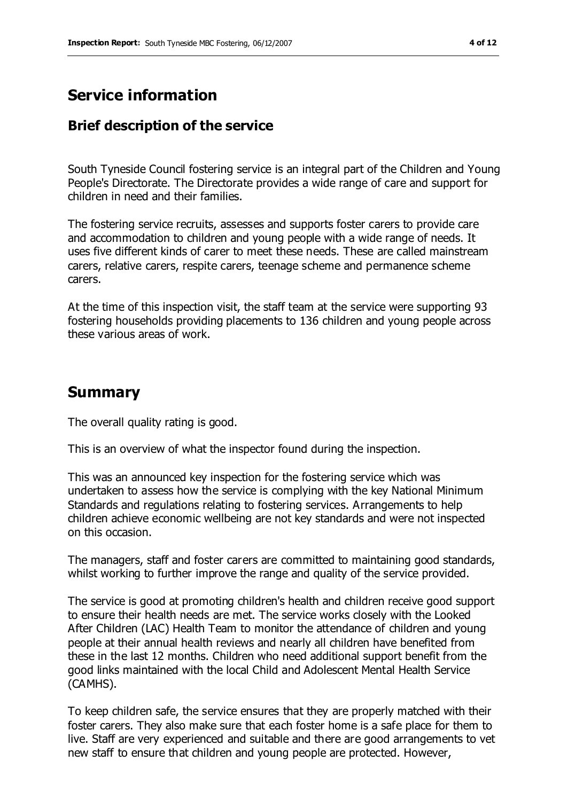## **Service information**

## **Brief description of the service**

South Tyneside Council fostering service is an integral part of the Children and Young People's Directorate. The Directorate provides a wide range of care and support for children in need and their families.

The fostering service recruits, assesses and supports foster carers to provide care and accommodation to children and young people with a wide range of needs. It uses five different kinds of carer to meet these needs. These are called mainstream carers, relative carers, respite carers, teenage scheme and permanence scheme carers.

At the time of this inspection visit, the staff team at the service were supporting 93 fostering households providing placements to 136 children and young people across these various areas of work.

## **Summary**

The overall quality rating is good.

This is an overview of what the inspector found during the inspection.

This was an announced key inspection for the fostering service which was undertaken to assess how the service is complying with the key National Minimum Standards and regulations relating to fostering services. Arrangements to help children achieve economic wellbeing are not key standards and were not inspected on this occasion.

The managers, staff and foster carers are committed to maintaining good standards, whilst working to further improve the range and quality of the service provided.

The service is good at promoting children's health and children receive good support to ensure their health needs are met. The service works closely with the Looked After Children (LAC) Health Team to monitor the attendance of children and young people at their annual health reviews and nearly all children have benefited from these in the last 12 months. Children who need additional support benefit from the good links maintained with the local Child and Adolescent Mental Health Service (CAMHS).

To keep children safe, the service ensures that they are properly matched with their foster carers. They also make sure that each foster home is a safe place for them to live. Staff are very experienced and suitable and there are good arrangements to vet new staff to ensure that children and young people are protected. However,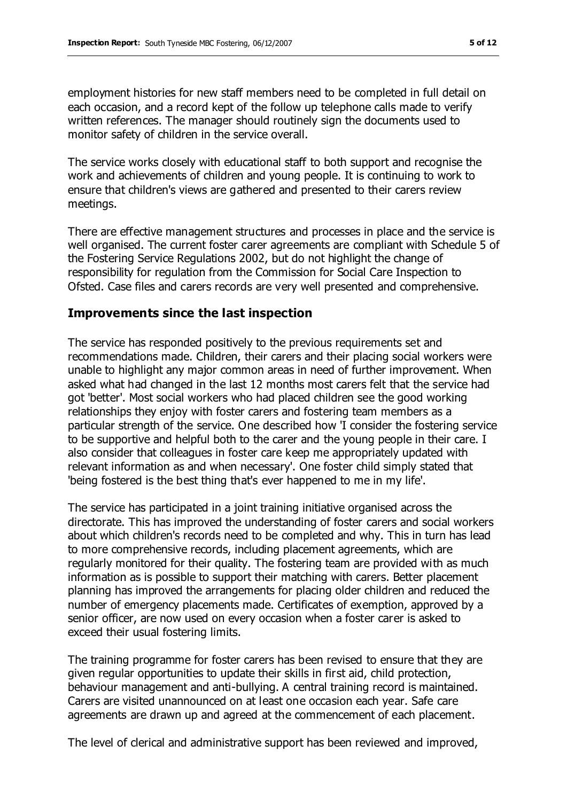employment histories for new staff members need to be completed in full detail on each occasion, and a record kept of the follow up telephone calls made to verify written references. The manager should routinely sign the documents used to monitor safety of children in the service overall.

The service works closely with educational staff to both support and recognise the work and achievements of children and young people. It is continuing to work to ensure that children's views are gathered and presented to their carers review meetings.

There are effective management structures and processes in place and the service is well organised. The current foster carer agreements are compliant with Schedule 5 of the Fostering Service Regulations 2002, but do not highlight the change of responsibility for regulation from the Commission for Social Care Inspection to Ofsted. Case files and carers records are very well presented and comprehensive.

#### **Improvements since the last inspection**

The service has responded positively to the previous requirements set and recommendations made. Children, their carers and their placing social workers were unable to highlight any major common areas in need of further improvement. When asked what had changed in the last 12 months most carers felt that the service had got 'better'. Most social workers who had placed children see the good working relationships they enjoy with foster carers and fostering team members as a particular strength of the service. One described how 'I consider the fostering service to be supportive and helpful both to the carer and the young people in their care. I also consider that colleagues in foster care keep me appropriately updated with relevant information as and when necessary'. One foster child simply stated that 'being fostered is the best thing that's ever happened to me in my life'.

The service has participated in a joint training initiative organised across the directorate. This has improved the understanding of foster carers and social workers about which children's records need to be completed and why. This in turn has lead to more comprehensive records, including placement agreements, which are regularly monitored for their quality. The fostering team are provided with as much information as is possible to support their matching with carers. Better placement planning has improved the arrangements for placing older children and reduced the number of emergency placements made. Certificates of exemption, approved by a senior officer, are now used on every occasion when a foster carer is asked to exceed their usual fostering limits.

The training programme for foster carers has been revised to ensure that they are given regular opportunities to update their skills in first aid, child protection, behaviour management and anti-bullying. A central training record is maintained. Carers are visited unannounced on at least one occasion each year. Safe care agreements are drawn up and agreed at the commencement of each placement.

The level of clerical and administrative support has been reviewed and improved,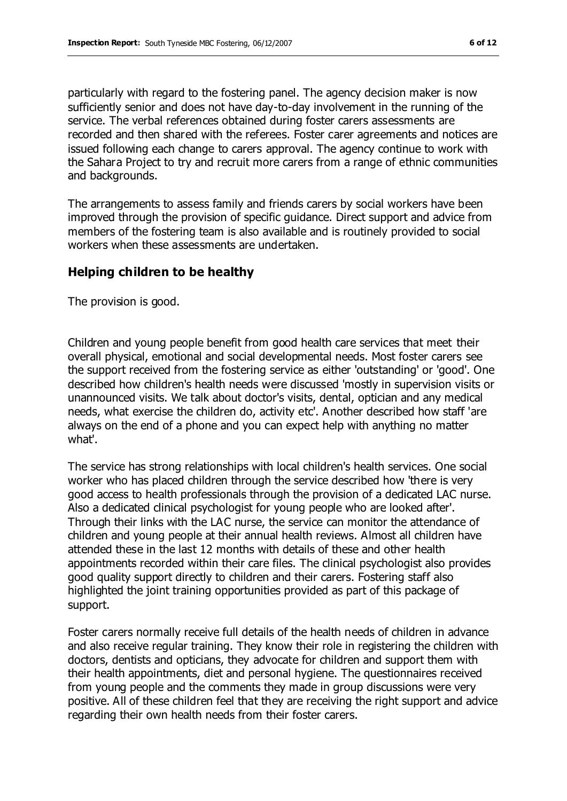particularly with regard to the fostering panel. The agency decision maker is now sufficiently senior and does not have day-to-day involvement in the running of the service. The verbal references obtained during foster carers assessments are recorded and then shared with the referees. Foster carer agreements and notices are issued following each change to carers approval. The agency continue to work with the Sahara Project to try and recruit more carers from a range of ethnic communities and backgrounds.

The arrangements to assess family and friends carers by social workers have been improved through the provision of specific guidance. Direct support and advice from members of the fostering team is also available and is routinely provided to social workers when these assessments are undertaken.

#### **Helping children to be healthy**

The provision is good.

Children and young people benefit from good health care services that meet their overall physical, emotional and social developmental needs. Most foster carers see the support received from the fostering service as either 'outstanding' or 'good'. One described how children's health needs were discussed 'mostly in supervision visits or unannounced visits. We talk about doctor's visits, dental, optician and any medical needs, what exercise the children do, activity etc'. Another described how staff 'are always on the end of a phone and you can expect help with anything no matter what'.

The service has strong relationships with local children's health services. One social worker who has placed children through the service described how 'there is very good access to health professionals through the provision of a dedicated LAC nurse. Also a dedicated clinical psychologist for young people who are looked after'. Through their links with the LAC nurse, the service can monitor the attendance of children and young people at their annual health reviews. Almost all children have attended these in the last 12 months with details of these and other health appointments recorded within their care files. The clinical psychologist also provides good quality support directly to children and their carers. Fostering staff also highlighted the joint training opportunities provided as part of this package of support.

Foster carers normally receive full details of the health needs of children in advance and also receive regular training. They know their role in registering the children with doctors, dentists and opticians, they advocate for children and support them with their health appointments, diet and personal hygiene. The questionnaires received from young people and the comments they made in group discussions were very positive. All of these children feel that they are receiving the right support and advice regarding their own health needs from their foster carers.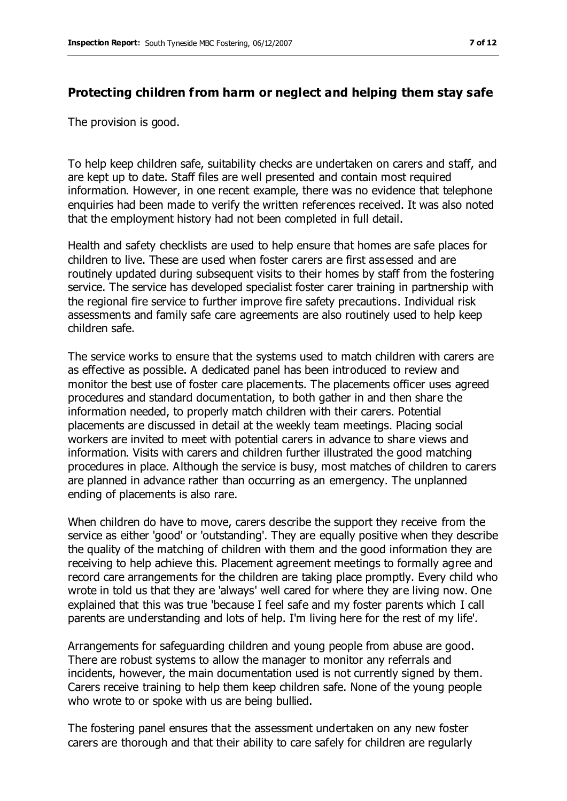#### **Protecting children from harm or neglect and helping them stay safe**

The provision is good.

To help keep children safe, suitability checks are undertaken on carers and staff, and are kept up to date. Staff files are well presented and contain most required information. However, in one recent example, there was no evidence that telephone enquiries had been made to verify the written references received. It was also noted that the employment history had not been completed in full detail.

Health and safety checklists are used to help ensure that homes are safe places for children to live. These are used when foster carers are first assessed and are routinely updated during subsequent visits to their homes by staff from the fostering service. The service has developed specialist foster carer training in partnership with the regional fire service to further improve fire safety precautions. Individual risk assessments and family safe care agreements are also routinely used to help keep children safe.

The service works to ensure that the systems used to match children with carers are as effective as possible. A dedicated panel has been introduced to review and monitor the best use of foster care placements. The placements officer uses agreed procedures and standard documentation, to both gather in and then share the information needed, to properly match children with their carers. Potential placements are discussed in detail at the weekly team meetings. Placing social workers are invited to meet with potential carers in advance to share views and information. Visits with carers and children further illustrated the good matching procedures in place. Although the service is busy, most matches of children to carers are planned in advance rather than occurring as an emergency. The unplanned ending of placements is also rare.

When children do have to move, carers describe the support they receive from the service as either 'good' or 'outstanding'. They are equally positive when they describe the quality of the matching of children with them and the good information they are receiving to help achieve this. Placement agreement meetings to formally agree and record care arrangements for the children are taking place promptly. Every child who wrote in told us that they are 'always' well cared for where they are living now. One explained that this was true 'because I feel safe and my foster parents which I call parents are understanding and lots of help. I'm living here for the rest of my life'.

Arrangements for safeguarding children and young people from abuse are good. There are robust systems to allow the manager to monitor any referrals and incidents, however, the main documentation used is not currently signed by them. Carers receive training to help them keep children safe. None of the young people who wrote to or spoke with us are being bullied.

The fostering panel ensures that the assessment undertaken on any new foster carers are thorough and that their ability to care safely for children are regularly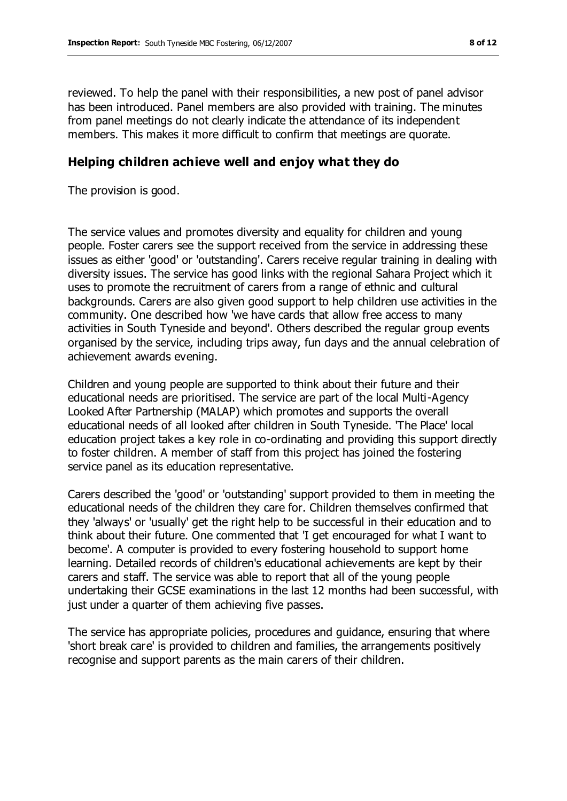reviewed. To help the panel with their responsibilities, a new post of panel advisor has been introduced. Panel members are also provided with training. The minutes from panel meetings do not clearly indicate the attendance of its independent members. This makes it more difficult to confirm that meetings are quorate.

#### **Helping children achieve well and enjoy what they do**

The provision is good.

The service values and promotes diversity and equality for children and young people. Foster carers see the support received from the service in addressing these issues as either 'good' or 'outstanding'. Carers receive regular training in dealing with diversity issues. The service has good links with the regional Sahara Project which it uses to promote the recruitment of carers from a range of ethnic and cultural backgrounds. Carers are also given good support to help children use activities in the community. One described how 'we have cards that allow free access to many activities in South Tyneside and beyond'. Others described the regular group events organised by the service, including trips away, fun days and the annual celebration of achievement awards evening.

Children and young people are supported to think about their future and their educational needs are prioritised. The service are part of the local Multi-Agency Looked After Partnership (MALAP) which promotes and supports the overall educational needs of all looked after children in South Tyneside. 'The Place' local education project takes a key role in co-ordinating and providing this support directly to foster children. A member of staff from this project has joined the fostering service panel as its education representative.

Carers described the 'good' or 'outstanding' support provided to them in meeting the educational needs of the children they care for. Children themselves confirmed that they 'always' or 'usually' get the right help to be successful in their education and to think about their future. One commented that 'I get encouraged for what I want to become'. A computer is provided to every fostering household to support home learning. Detailed records of children's educational achievements are kept by their carers and staff. The service was able to report that all of the young people undertaking their GCSE examinations in the last 12 months had been successful, with just under a quarter of them achieving five passes.

The service has appropriate policies, procedures and guidance, ensuring that where 'short break care' is provided to children and families, the arrangements positively recognise and support parents as the main carers of their children.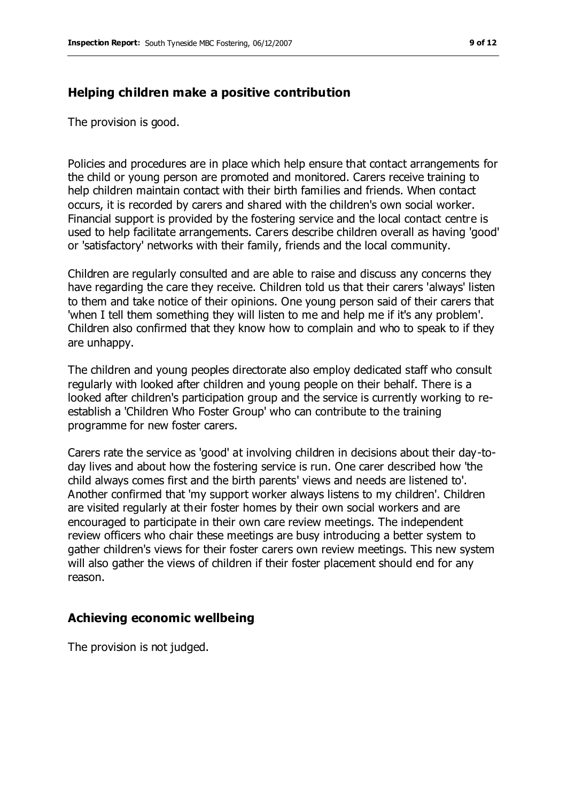#### **Helping children make a positive contribution**

The provision is good.

Policies and procedures are in place which help ensure that contact arrangements for the child or young person are promoted and monitored. Carers receive training to help children maintain contact with their birth families and friends. When contact occurs, it is recorded by carers and shared with the children's own social worker. Financial support is provided by the fostering service and the local contact centre is used to help facilitate arrangements. Carers describe children overall as having 'good' or 'satisfactory' networks with their family, friends and the local community.

Children are regularly consulted and are able to raise and discuss any concerns they have regarding the care they receive. Children told us that their carers 'always' listen to them and take notice of their opinions. One young person said of their carers that 'when I tell them something they will listen to me and help me if it's any problem'. Children also confirmed that they know how to complain and who to speak to if they are unhappy.

The children and young peoples directorate also employ dedicated staff who consult regularly with looked after children and young people on their behalf. There is a looked after children's participation group and the service is currently working to reestablish a 'Children Who Foster Group' who can contribute to the training programme for new foster carers.

Carers rate the service as 'good' at involving children in decisions about their day-today lives and about how the fostering service is run. One carer described how 'the child always comes first and the birth parents' views and needs are listened to'. Another confirmed that 'my support worker always listens to my children'. Children are visited regularly at their foster homes by their own social workers and are encouraged to participate in their own care review meetings. The independent review officers who chair these meetings are busy introducing a better system to gather children's views for their foster carers own review meetings. This new system will also gather the views of children if their foster placement should end for any reason.

#### **Achieving economic wellbeing**

The provision is not judged.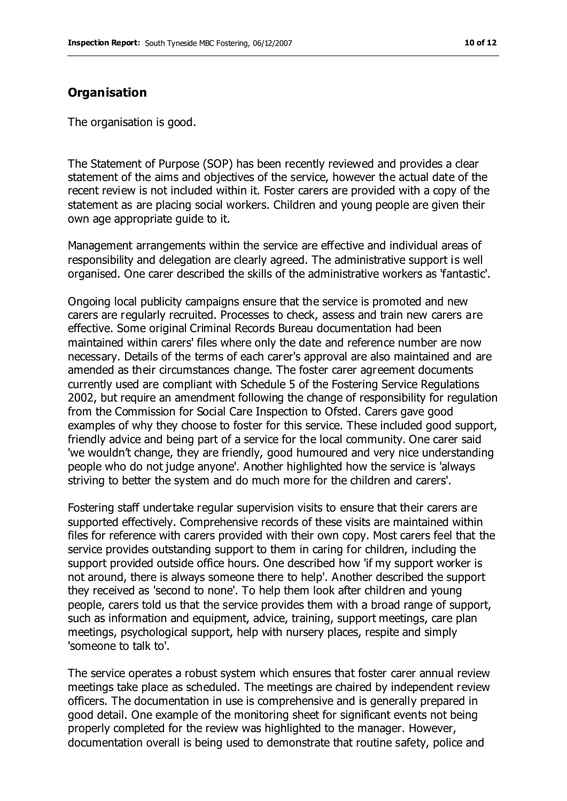#### **Organisation**

The organisation is good.

The Statement of Purpose (SOP) has been recently reviewed and provides a clear statement of the aims and objectives of the service, however the actual date of the recent review is not included within it. Foster carers are provided with a copy of the statement as are placing social workers. Children and young people are given their own age appropriate guide to it.

Management arrangements within the service are effective and individual areas of responsibility and delegation are clearly agreed. The administrative support is well organised. One carer described the skills of the administrative workers as 'fantastic'.

Ongoing local publicity campaigns ensure that the service is promoted and new carers are regularly recruited. Processes to check, assess and train new carers are effective. Some original Criminal Records Bureau documentation had been maintained within carers' files where only the date and reference number are now necessary. Details of the terms of each carer's approval are also maintained and are amended as their circumstances change. The foster carer agreement documents currently used are compliant with Schedule 5 of the Fostering Service Regulations 2002, but require an amendment following the change of responsibility for regulation from the Commission for Social Care Inspection to Ofsted. Carers gave good examples of why they choose to foster for this service. These included good support, friendly advice and being part of a service for the local community. One carer said 'we wouldn't change, they are friendly, good humoured and very nice understanding people who do not judge anyone'. Another highlighted how the service is 'always striving to better the system and do much more for the children and carers'.

Fostering staff undertake regular supervision visits to ensure that their carers are supported effectively. Comprehensive records of these visits are maintained within files for reference with carers provided with their own copy. Most carers feel that the service provides outstanding support to them in caring for children, including the support provided outside office hours. One described how 'if my support worker is not around, there is always someone there to help'. Another described the support they received as 'second to none'. To help them look after children and young people, carers told us that the service provides them with a broad range of support, such as information and equipment, advice, training, support meetings, care plan meetings, psychological support, help with nursery places, respite and simply 'someone to talk to'.

The service operates a robust system which ensures that foster carer annual review meetings take place as scheduled. The meetings are chaired by independent review officers. The documentation in use is comprehensive and is generally prepared in good detail. One example of the monitoring sheet for significant events not being properly completed for the review was highlighted to the manager. However, documentation overall is being used to demonstrate that routine safety, police and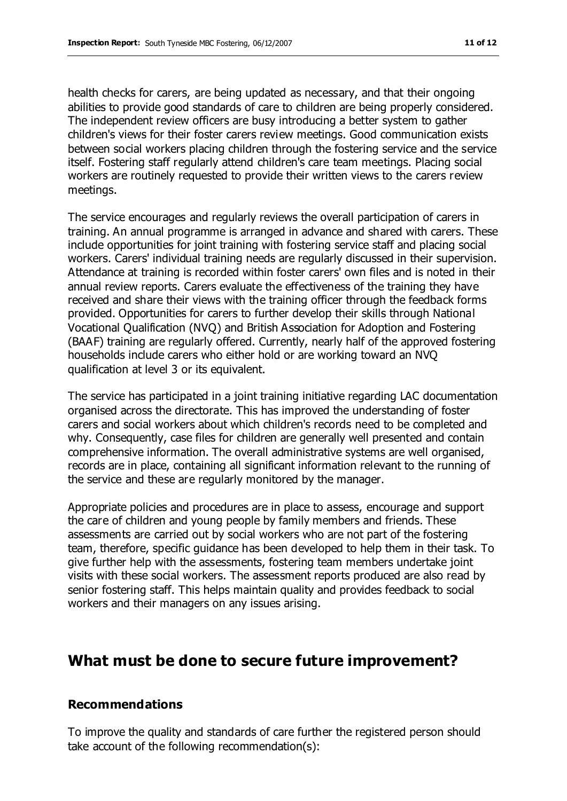health checks for carers, are being updated as necessary, and that their ongoing abilities to provide good standards of care to children are being properly considered. The independent review officers are busy introducing a better system to gather children's views for their foster carers review meetings. Good communication exists between social workers placing children through the fostering service and the service itself. Fostering staff regularly attend children's care team meetings. Placing social workers are routinely requested to provide their written views to the carers review meetings.

The service encourages and regularly reviews the overall participation of carers in training. An annual programme is arranged in advance and shared with carers. These include opportunities for joint training with fostering service staff and placing social workers. Carers' individual training needs are regularly discussed in their supervision. Attendance at training is recorded within foster carers' own files and is noted in their annual review reports. Carers evaluate the effectiveness of the training they have received and share their views with the training officer through the feedback forms provided. Opportunities for carers to further develop their skills through National Vocational Qualification (NVQ) and British Association for Adoption and Fostering (BAAF) training are regularly offered. Currently, nearly half of the approved fostering households include carers who either hold or are working toward an NVQ qualification at level 3 or its equivalent.

The service has participated in a joint training initiative regarding LAC documentation organised across the directorate. This has improved the understanding of foster carers and social workers about which children's records need to be completed and why. Consequently, case files for children are generally well presented and contain comprehensive information. The overall administrative systems are well organised, records are in place, containing all significant information relevant to the running of the service and these are regularly monitored by the manager.

Appropriate policies and procedures are in place to assess, encourage and support the care of children and young people by family members and friends. These assessments are carried out by social workers who are not part of the fostering team, therefore, specific guidance has been developed to help them in their task. To give further help with the assessments, fostering team members undertake joint visits with these social workers. The assessment reports produced are also read by senior fostering staff. This helps maintain quality and provides feedback to social workers and their managers on any issues arising.

## **What must be done to secure future improvement?**

#### **Recommendations**

To improve the quality and standards of care further the registered person should take account of the following recommendation(s):